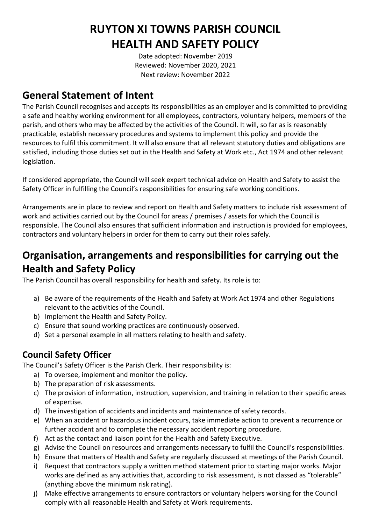# **RUYTON XI TOWNS PARISH COUNCIL HEALTH AND SAFETY POLICY**

Date adopted: November 2019 Reviewed: November 2020, 2021 Next review: November 2022

## **General Statement of Intent**

The Parish Council recognises and accepts its responsibilities as an employer and is committed to providing a safe and healthy working environment for all employees, contractors, voluntary helpers, members of the parish, and others who may be affected by the activities of the Council. It will, so far as is reasonably practicable, establish necessary procedures and systems to implement this policy and provide the resources to fulfil this commitment. It will also ensure that all relevant statutory duties and obligations are satisfied, including those duties set out in the Health and Safety at Work etc., Act 1974 and other relevant legislation.

If considered appropriate, the Council will seek expert technical advice on Health and Safety to assist the Safety Officer in fulfilling the Council's responsibilities for ensuring safe working conditions.

Arrangements are in place to review and report on Health and Safety matters to include risk assessment of work and activities carried out by the Council for areas / premises / assets for which the Council is responsible. The Council also ensures that sufficient information and instruction is provided for employees, contractors and voluntary helpers in order for them to carry out their roles safely.

## **Organisation, arrangements and responsibilities for carrying out the Health and Safety Policy**

The Parish Council has overall responsibility for health and safety. Its role is to:

- a) Be aware of the requirements of the Health and Safety at Work Act 1974 and other Regulations relevant to the activities of the Council.
- b) Implement the Health and Safety Policy.
- c) Ensure that sound working practices are continuously observed.
- d) Set a personal example in all matters relating to health and safety.

### **Council Safety Officer**

The Council's Safety Officer is the Parish Clerk. Their responsibility is:

- a) To oversee, implement and monitor the policy.
- b) The preparation of risk assessments.
- c) The provision of information, instruction, supervision, and training in relation to their specific areas of expertise.
- d) The investigation of accidents and incidents and maintenance of safety records.
- e) When an accident or hazardous incident occurs, take immediate action to prevent a recurrence or further accident and to complete the necessary accident reporting procedure.
- f) Act as the contact and liaison point for the Health and Safety Executive.
- g) Advise the Council on resources and arrangements necessary to fulfil the Council's responsibilities.
- h) Ensure that matters of Health and Safety are regularly discussed at meetings of the Parish Council.
- i) Request that contractors supply a written method statement prior to starting major works. Major works are defined as any activities that, according to risk assessment, is not classed as "tolerable" (anything above the minimum risk rating).
- j) Make effective arrangements to ensure contractors or voluntary helpers working for the Council comply with all reasonable Health and Safety at Work requirements.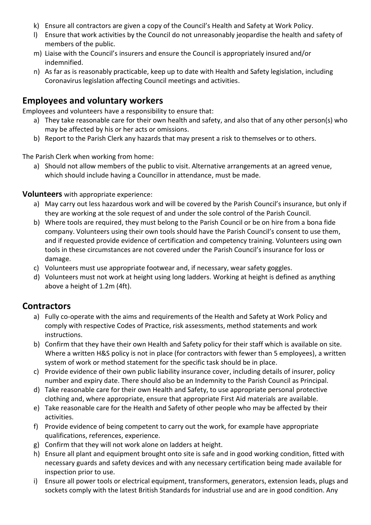- k) Ensure all contractors are given a copy of the Council's Health and Safety at Work Policy.
- l) Ensure that work activities by the Council do not unreasonably jeopardise the health and safety of members of the public.
- m) Liaise with the Council's insurers and ensure the Council is appropriately insured and/or indemnified.
- n) As far as is reasonably practicable, keep up to date with Health and Safety legislation, including Coronavirus legislation affecting Council meetings and activities.

#### **Employees and voluntary workers**

Employees and volunteers have a responsibility to ensure that:

- a) They take reasonable care for their own health and safety, and also that of any other person(s) who may be affected by his or her acts or omissions.
- b) Report to the Parish Clerk any hazards that may present a risk to themselves or to others.

The Parish Clerk when working from home:

a) Should not allow members of the public to visit. Alternative arrangements at an agreed venue, which should include having a Councillor in attendance, must be made.

#### **Volunteers** with appropriate experience:

- a) May carry out less hazardous work and will be covered by the Parish Council's insurance, but only if they are working at the sole request of and under the sole control of the Parish Council.
- b) Where tools are required, they must belong to the Parish Council or be on hire from a bona fide company. Volunteers using their own tools should have the Parish Council's consent to use them, and if requested provide evidence of certification and competency training. Volunteers using own tools in these circumstances are not covered under the Parish Council's insurance for loss or damage.
- c) Volunteers must use appropriate footwear and, if necessary, wear safety goggles.
- d) Volunteers must not work at height using long ladders. Working at height is defined as anything above a height of 1.2m (4ft).

#### **Contractors**

- a) Fully co-operate with the aims and requirements of the Health and Safety at Work Policy and comply with respective Codes of Practice, risk assessments, method statements and work instructions.
- b) Confirm that they have their own Health and Safety policy for their staff which is available on site. Where a written H&S policy is not in place (for contractors with fewer than 5 employees), a written system of work or method statement for the specific task should be in place.
- c) Provide evidence of their own public liability insurance cover, including details of insurer, policy number and expiry date. There should also be an Indemnity to the Parish Council as Principal.
- d) Take reasonable care for their own Health and Safety, to use appropriate personal protective clothing and, where appropriate, ensure that appropriate First Aid materials are available.
- e) Take reasonable care for the Health and Safety of other people who may be affected by their activities.
- f) Provide evidence of being competent to carry out the work, for example have appropriate qualifications, references, experience.
- g) Confirm that they will not work alone on ladders at height.
- h) Ensure all plant and equipment brought onto site is safe and in good working condition, fitted with necessary guards and safety devices and with any necessary certification being made available for inspection prior to use.
- i) Ensure all power tools or electrical equipment, transformers, generators, extension leads, plugs and sockets comply with the latest British Standards for industrial use and are in good condition. Any